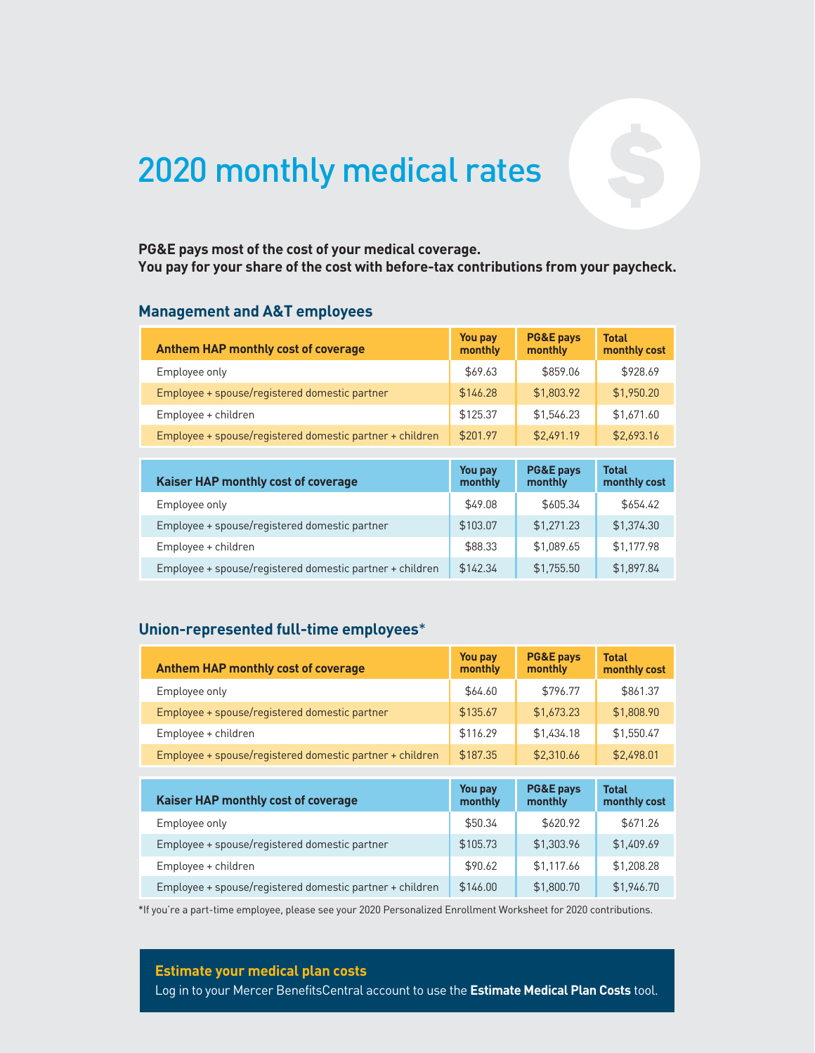# 2020 monthly medical rates

## **You pay for your share of the cost with before-tax contributions from your paycheck.**

#### **Management and A&T employees**

| PG&E pays most of the cost of your medical coverage.<br>You pay for your share of the cost with before-tax contributions from your paycheck.<br><b>Management and A&amp;T employees</b> |                    |                                 |                              |
|-----------------------------------------------------------------------------------------------------------------------------------------------------------------------------------------|--------------------|---------------------------------|------------------------------|
| <b>Anthem HAP monthly cost of coverage</b>                                                                                                                                              | You pay<br>monthly | <b>PG&amp;E pays</b><br>monthly | <b>Total</b><br>monthly cost |
| Employee only                                                                                                                                                                           | \$69.63            | \$859.06                        | \$928.69                     |
| Employee + spouse/registered domestic partner                                                                                                                                           | \$146.28           | \$1,803.92                      | \$1,950.20                   |
| Employee + children                                                                                                                                                                     | \$125.37           | \$1,546.23                      | \$1,671.60                   |
| Employee + spouse/registered domestic partner + children                                                                                                                                | \$201.97           | \$2,491.19                      | \$2,693.16                   |
|                                                                                                                                                                                         |                    |                                 |                              |
| Kaiser HAP monthly cost of coverage                                                                                                                                                     | You pay<br>monthly | <b>PG&amp;E pays</b><br>monthly | <b>Total</b><br>monthly cost |
| Employee only                                                                                                                                                                           | \$49.08            | \$605.34                        | \$654.42                     |
| Employee + spouse/registered domestic partner                                                                                                                                           | \$103.07           | \$1,271.23                      | \$1,374.30                   |
| Employee + children                                                                                                                                                                     | \$88.33            | \$1,089.65                      | \$1,177.98                   |
| Employee + spouse/registered domestic partner + children                                                                                                                                | \$142.34           | \$1,755.50                      | \$1,897.84                   |

| <b>Kaiser HAP monthly cost of coverage</b>               | You pay<br>monthly | <b>PG&amp;E pays</b><br>monthly | <b>Total</b><br>monthly cost |
|----------------------------------------------------------|--------------------|---------------------------------|------------------------------|
| Employee only                                            | \$49.08            | \$605.34                        | \$654.42                     |
| Employee + spouse/registered domestic partner            | \$103.07           | \$1,271.23                      | \$1,374.30                   |
| Employee + children                                      | \$88.33            | \$1,089.65                      | \$1,177.98                   |
| Employee + spouse/registered domestic partner + children | \$142.34           | \$1,755.50                      | \$1,897.84                   |

| Union-represented full-time employees*                   |                           |                                 |                              |
|----------------------------------------------------------|---------------------------|---------------------------------|------------------------------|
| <b>Anthem HAP monthly cost of coverage</b>               | <b>You pay</b><br>monthly | <b>PG&amp;E pays</b><br>monthly | <b>Total</b><br>monthly cost |
| Employee only                                            | \$64.60                   | \$796.77                        | \$861.37                     |
| Employee + spouse/registered domestic partner            | \$135.67                  | \$1,673.23                      | \$1,808.90                   |
| Employee + children                                      | \$116.29                  | \$1.434.18                      | \$1,550.47                   |
| Employee + spouse/registered domestic partner + children | \$187.35                  | \$2.310.66                      | \$2,498.01                   |
|                                                          |                           |                                 |                              |
| Kaiser HAP monthly cost of coverage                      | You pay<br>monthly        | <b>PG&amp;E pays</b><br>monthly | <b>Total</b><br>monthly cost |
| Employee only                                            | \$50.34                   | \$620.92                        | \$671.26                     |
| Employee + spouse/registered domestic partner            | \$105.73                  | \$1,303.96                      | \$1.409.69                   |
| Employee + children                                      | \$90.62                   | \$1,117.66                      | \$1,208.28                   |
| Employee + spouse/registered domestic partner + children | \$146.00                  | \$1,800.70                      | \$1,946.70                   |

\*If you're a part-time employee, please see your 2020 Personalized Enrollment Worksheet for 2020 contributions.

**Estimate your medical plan costs**

Log in to your Mercer BenefitsCentral account to use the **Estimate Medical Plan Costs** tool.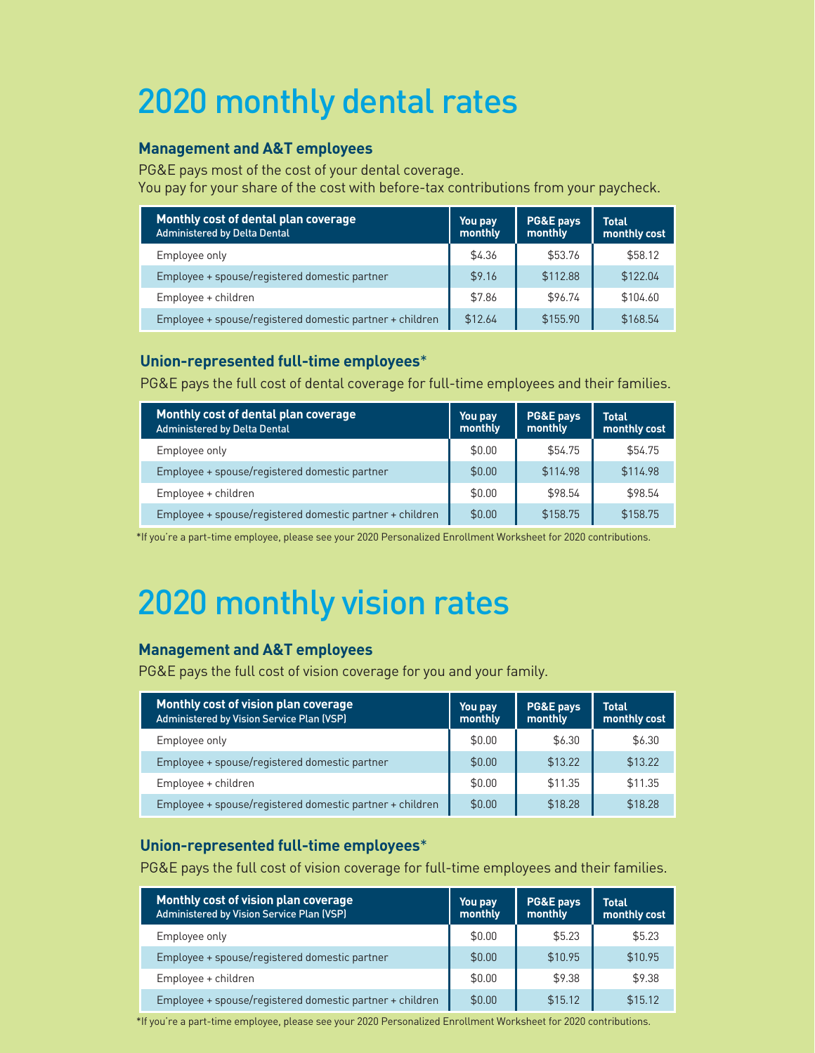# 2020 monthly dental rates

#### **Management and A&T employees**

PG&E pays most of the cost of your dental coverage. You pay for your share of the cost with before-tax contributions from your paycheck.

| Monthly cost of dental plan coverage<br><b>Administered by Delta Dental</b> | You pay<br>monthly | <b>PG&amp;E pays</b><br>monthly | <b>Total</b><br>monthly cost |
|-----------------------------------------------------------------------------|--------------------|---------------------------------|------------------------------|
| Employee only                                                               | \$4.36             | \$53.76                         | \$58.12                      |
| Employee + spouse/registered domestic partner                               | \$9.16             | \$112.88                        | \$122.04                     |
| Employee + children                                                         | \$7.86             | \$96.74                         | \$104.60                     |
| Employee + spouse/registered domestic partner + children                    | \$12.64            | \$155.90                        | \$168.54                     |

#### **Union-represented full-time employees**\*

PG&E pays the full cost of dental coverage for full-time employees and their families.

| Monthly cost of dental plan coverage<br>Administered by Delta Dental | You pay<br>monthly | PG&E pays<br>monthly | <b>Total</b><br>monthly cost |
|----------------------------------------------------------------------|--------------------|----------------------|------------------------------|
| Employee only                                                        | \$0.00             | \$54.75              | \$54.75                      |
| Employee + spouse/registered domestic partner                        | \$0.00             | \$114.98             | \$114.98                     |
| Employee + children                                                  | \$0.00             | \$98.54              | \$98.54                      |
| Employee + spouse/registered domestic partner + children             | \$0.00             | \$158.75             | \$158.75                     |

\*If you're a part-time employee, please see your 2020 Personalized Enrollment Worksheet for 2020 contributions.

# 2020 monthly vision rates

#### **Management and A&T employees**

PG&E pays the full cost of vision coverage for you and your family.

| Monthly cost of vision plan coverage<br>Administered by Vision Service Plan (VSP) | You pay<br>monthly | <b>PG&amp;E pays</b><br>monthly | <b>Total</b><br>monthly cost |
|-----------------------------------------------------------------------------------|--------------------|---------------------------------|------------------------------|
| Employee only                                                                     | \$0.00             | \$6.30                          | \$6.30                       |
| Employee + spouse/registered domestic partner                                     | \$0.00             | \$13.22                         | \$13.22                      |
| Employee + children                                                               | \$0.00             | \$11.35                         | \$11.35                      |
| Employee + spouse/registered domestic partner + children                          | \$0.00             | \$18.28                         | \$18.28                      |

#### **Union-represented full-time employees**\*

PG&E pays the full cost of vision coverage for full-time employees and their families.

| Monthly cost of vision plan coverage<br><b>Administered by Vision Service Plan (VSP)</b> | You pay<br>monthly | PG&E pays<br>monthly | <b>Total</b><br>monthly cost |
|------------------------------------------------------------------------------------------|--------------------|----------------------|------------------------------|
| Employee only                                                                            | \$0.00             | \$5.23               | \$5.23                       |
| Employee + spouse/registered domestic partner                                            | \$0.00             | \$10.95              | \$10.95                      |
| Employee + children                                                                      | \$0.00             | \$9.38               | \$9.38                       |
| Employee + spouse/registered domestic partner + children                                 | \$0.00             | \$15.12              | \$15.12                      |

\*If you're a part-time employee, please see your 2020 Personalized Enrollment Worksheet for 2020 contributions.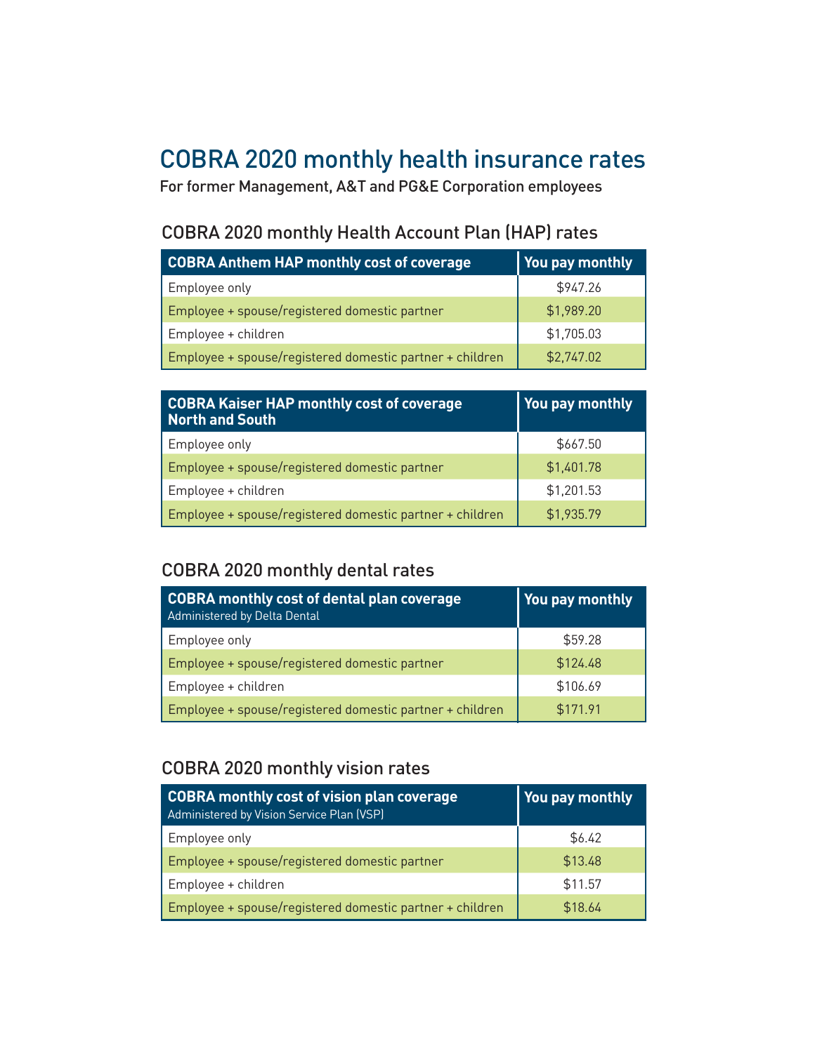### COBRA 2020 monthly health insurance rates

For former Management, A&T and PG&E Corporation employees

### COBRA 2020 monthly Health Account Plan (HAP) rates

| <b>COBRA Anthem HAP monthly cost of coverage</b>         | You pay monthly |
|----------------------------------------------------------|-----------------|
| Employee only                                            | \$947.26        |
| Employee + spouse/registered domestic partner            | \$1,989.20      |
| Employee + children                                      | \$1,705.03      |
| Employee + spouse/registered domestic partner + children | \$2,747.02      |

| <b>COBRA Kaiser HAP monthly cost of coverage</b><br>North and South | You pay monthly |
|---------------------------------------------------------------------|-----------------|
| Employee only                                                       | \$667.50        |
| Employee + spouse/registered domestic partner                       | \$1,401.78      |
| Employee + children                                                 | \$1,201.53      |
| Employee + spouse/registered domestic partner + children            | \$1,935.79      |

#### COBRA 2020 monthly dental rates

| COBRA monthly cost of dental plan coverage<br>Administered by Delta Dental | You pay monthly |
|----------------------------------------------------------------------------|-----------------|
| Employee only                                                              | \$59.28         |
| Employee + spouse/registered domestic partner                              | \$124.48        |
| Employee + children                                                        | \$106.69        |
| Employee + spouse/registered domestic partner + children                   | \$171.91        |

#### COBRA 2020 monthly vision rates

| COBRA monthly cost of vision plan coverage<br>Administered by Vision Service Plan (VSP) | You pay monthly |
|-----------------------------------------------------------------------------------------|-----------------|
| Employee only                                                                           | \$6.42          |
| Employee + spouse/registered domestic partner                                           | \$13.48         |
| Employee + children                                                                     | \$11.57         |
| Employee + spouse/registered domestic partner + children                                | \$18.64         |